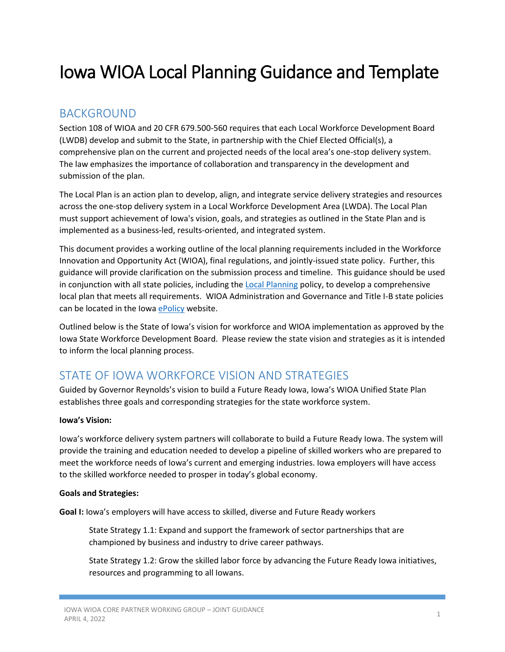# Iowa WIOA Local Planning Guidance and Template

## BACKGROUND

Section 108 of WIOA and 20 CFR 679.500-560 requires that each Local Workforce Development Board (LWDB) develop and submit to the State, in partnership with the Chief Elected Official(s), a comprehensive plan on the current and projected needs of the local area's one-stop delivery system. The law emphasizes the importance of collaboration and transparency in the development and submission of the plan.

The Local Plan is an action plan to develop, align, and integrate service delivery strategies and resources across the one-stop delivery system in a Local Workforce Development Area (LWDA). The Local Plan must support achievement of Iowa's vision, goals, and strategies as outlined in the State Plan and is implemented as a business-led, results-oriented, and integrated system.

This document provides a working outline of the local planning requirements included in the Workforce Innovation and Opportunity Act (WIOA), final regulations, and jointly-issued state policy. Further, this guidance will provide clarification on the submission process and timeline. This guidance should be used in conjunction with all state policies, including the [Local Planning](https://epolicy.iwd.iowa.gov/Policy/Index/254) policy, to develop a comprehensive local plan that meets all requirements. WIOA Administration and Governance and Title I-B state policies can be located in the Iowa [ePolicy](https://epolicy.iwd.iowa.gov/Policy/Home) website.

Outlined below is the State of Iowa's vision for workforce and WIOA implementation as approved by the Iowa State Workforce Development Board. Please review the state vision and strategies as it is intended to inform the local planning process.

## STATE OF IOWA WORKFORCE VISION AND STRATEGIES

Guided by Governor Reynolds's vision to build a Future Ready Iowa, Iowa's WIOA Unified State Plan establishes three goals and corresponding strategies for the state workforce system.

#### **Iowa's Vision:**

Iowa's workforce delivery system partners will collaborate to build a Future Ready Iowa. The system will provide the training and education needed to develop a pipeline of skilled workers who are prepared to meet the workforce needs of Iowa's current and emerging industries. Iowa employers will have access to the skilled workforce needed to prosper in today's global economy.

#### **Goals and Strategies:**

**Goal I:** Iowa's employers will have access to skilled, diverse and Future Ready workers

State Strategy 1.1: Expand and support the framework of sector partnerships that are championed by business and industry to drive career pathways.

State Strategy 1.2: Grow the skilled labor force by advancing the Future Ready Iowa initiatives, resources and programming to all Iowans.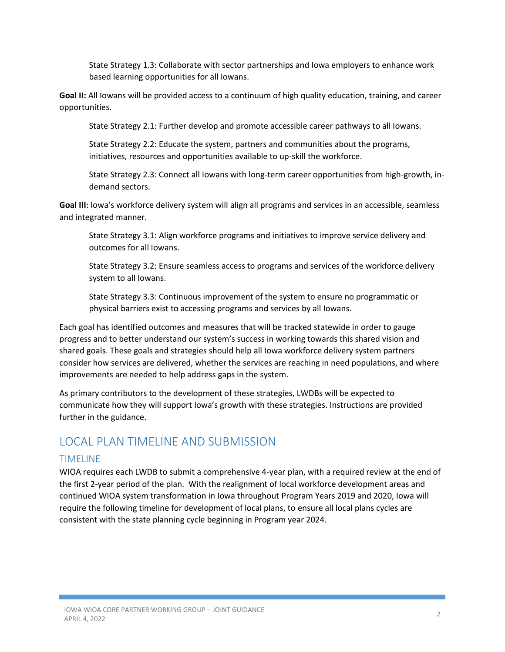State Strategy 1.3: Collaborate with sector partnerships and Iowa employers to enhance work based learning opportunities for all Iowans.

**Goal II:** All Iowans will be provided access to a continuum of high quality education, training, and career opportunities.

State Strategy 2.1: Further develop and promote accessible career pathways to all Iowans.

State Strategy 2.2: Educate the system, partners and communities about the programs, initiatives, resources and opportunities available to up-skill the workforce.

State Strategy 2.3: Connect all Iowans with long-term career opportunities from high-growth, indemand sectors.

**Goal III**: Iowa's workforce delivery system will align all programs and services in an accessible, seamless and integrated manner.

State Strategy 3.1: Align workforce programs and initiatives to improve service delivery and outcomes for all Iowans.

State Strategy 3.2: Ensure seamless access to programs and services of the workforce delivery system to all Iowans.

State Strategy 3.3: Continuous improvement of the system to ensure no programmatic or physical barriers exist to accessing programs and services by all Iowans.

Each goal has identified outcomes and measures that will be tracked statewide in order to gauge progress and to better understand our system's success in working towards this shared vision and shared goals. These goals and strategies should help all Iowa workforce delivery system partners consider how services are delivered, whether the services are reaching in need populations, and where improvements are needed to help address gaps in the system.

As primary contributors to the development of these strategies, LWDBs will be expected to communicate how they will support Iowa's growth with these strategies. Instructions are provided further in the guidance.

## LOCAL PLAN TIMELINE AND SUBMISSION

#### TIMELINE

WIOA requires each LWDB to submit a comprehensive 4-year plan, with a required review at the end of the first 2-year period of the plan. With the realignment of local workforce development areas and continued WIOA system transformation in Iowa throughout Program Years 2019 and 2020, Iowa will require the following timeline for development of local plans, to ensure all local plans cycles are consistent with the state planning cycle beginning in Program year 2024.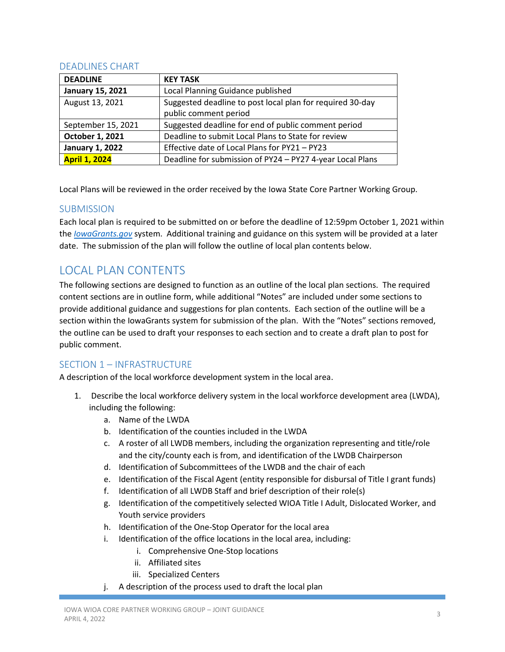#### DEADLINES CHART

| <b>DEADLINE</b>         | <b>KEY TASK</b>                                           |
|-------------------------|-----------------------------------------------------------|
| <b>January 15, 2021</b> | Local Planning Guidance published                         |
| August 13, 2021         | Suggested deadline to post local plan for required 30-day |
|                         | public comment period                                     |
| September 15, 2021      | Suggested deadline for end of public comment period       |
| October 1, 2021         | Deadline to submit Local Plans to State for review        |
| <b>January 1, 2022</b>  | Effective date of Local Plans for PY21 - PY23             |
| <b>April 1, 2024</b>    | Deadline for submission of PY24 - PY27 4-year Local Plans |

Local Plans will be reviewed in the order received by the Iowa State Core Partner Working Group.

#### **SUBMISSION**

Each local plan is required to be submitted on or before the deadline of 12:59pm October 1, 2021 within the *[IowaGrants.gov](https://www.iowagrants.gov/index.do)* system. Additional training and guidance on this system will be provided at a later date. The submission of the plan will follow the outline of local plan contents below.

## LOCAL PLAN CONTENTS

The following sections are designed to function as an outline of the local plan sections. The required content sections are in outline form, while additional "Notes" are included under some sections to provide additional guidance and suggestions for plan contents. Each section of the outline will be a section within the IowaGrants system for submission of the plan. With the "Notes" sections removed, the outline can be used to draft your responses to each section and to create a draft plan to post for public comment.

### SECTION 1 – INFRASTRUCTURE

A description of the local workforce development system in the local area.

- 1. Describe the local workforce delivery system in the local workforce development area (LWDA), including the following:
	- a. Name of the LWDA
	- b. Identification of the counties included in the LWDA
	- c. A roster of all LWDB members, including the organization representing and title/role and the city/county each is from, and identification of the LWDB Chairperson
	- d. Identification of Subcommittees of the LWDB and the chair of each
	- e. Identification of the Fiscal Agent (entity responsible for disbursal of Title I grant funds)
	- f. Identification of all LWDB Staff and brief description of their role(s)
	- g. Identification of the competitively selected WIOA Title I Adult, Dislocated Worker, and Youth service providers
	- h. Identification of the One-Stop Operator for the local area
	- i. Identification of the office locations in the local area, including:
		- i. Comprehensive One-Stop locations
		- ii. Affiliated sites
		- iii. Specialized Centers
	- j. A description of the process used to draft the local plan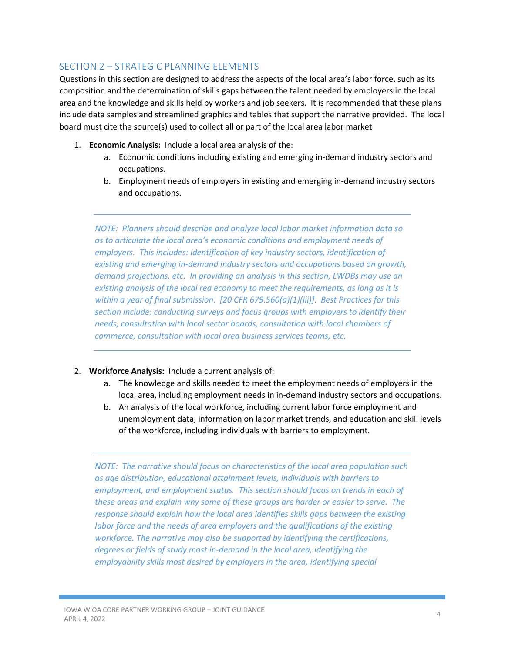#### SECTION 2 – STRATEGIC PLANNING ELEMENTS

Questions in this section are designed to address the aspects of the local area's labor force, such as its composition and the determination of skills gaps between the talent needed by employers in the local area and the knowledge and skills held by workers and job seekers. It is recommended that these plans include data samples and streamlined graphics and tables that support the narrative provided. The local board must cite the source(s) used to collect all or part of the local area labor market

- 1. **Economic Analysis:** Include a local area analysis of the:
	- a. Economic conditions including existing and emerging in-demand industry sectors and occupations.
	- b. Employment needs of employers in existing and emerging in-demand industry sectors and occupations.

*NOTE: Planners should describe and analyze local labor market information data so as to articulate the local area's economic conditions and employment needs of employers. This includes: identification of key industry sectors, identification of existing and emerging in-demand industry sectors and occupations based on growth, demand projections, etc. In providing an analysis in this section, LWDBs may use an existing analysis of the local rea economy to meet the requirements, as long as it is within a year of final submission. [20 CFR 679.560(a)(1)(iii)]. Best Practices for this section include: conducting surveys and focus groups with employers to identify their needs, consultation with local sector boards, consultation with local chambers of commerce, consultation with local area business services teams, etc.*

#### 2. **Workforce Analysis:** Include a current analysis of:

- a. The knowledge and skills needed to meet the employment needs of employers in the local area, including employment needs in in-demand industry sectors and occupations.
- b. An analysis of the local workforce, including current labor force employment and unemployment data, information on labor market trends, and education and skill levels of the workforce, including individuals with barriers to employment.

*NOTE: The narrative should focus on characteristics of the local area population such as age distribution, educational attainment levels, individuals with barriers to employment, and employment status. This section should focus on trends in each of these areas and explain why some of these groups are harder or easier to serve. The response should explain how the local area identifies skills gaps between the existing labor force and the needs of area employers and the qualifications of the existing workforce. The narrative may also be supported by identifying the certifications, degrees or fields of study most in-demand in the local area, identifying the employability skills most desired by employers in the area, identifying special*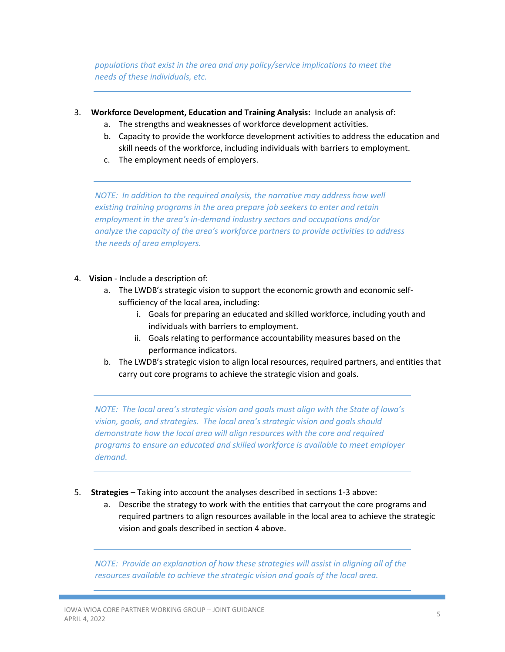*populations that exist in the area and any policy/service implications to meet the needs of these individuals, etc.* 

- 3. **Workforce Development, Education and Training Analysis:** Include an analysis of:
	- a. The strengths and weaknesses of workforce development activities.
	- b. Capacity to provide the workforce development activities to address the education and skill needs of the workforce, including individuals with barriers to employment.
	- c. The employment needs of employers.

*NOTE: In addition to the required analysis, the narrative may address how well existing training programs in the area prepare job seekers to enter and retain employment in the area's in-demand industry sectors and occupations and/or analyze the capacity of the area's workforce partners to provide activities to address the needs of area employers.*

- 4. **Vision**  Include a description of:
	- a. The LWDB's strategic vision to support the economic growth and economic selfsufficiency of the local area, including:
		- i. Goals for preparing an educated and skilled workforce, including youth and individuals with barriers to employment.
		- ii. Goals relating to performance accountability measures based on the performance indicators.
	- b. The LWDB's strategic vision to align local resources, required partners, and entities that carry out core programs to achieve the strategic vision and goals.

*NOTE: The local area's strategic vision and goals must align with the State of Iowa's vision, goals, and strategies. The local area's strategic vision and goals should demonstrate how the local area will align resources with the core and required programs to ensure an educated and skilled workforce is available to meet employer demand.* 

- 5. **Strategies** Taking into account the analyses described in sections 1-3 above:
	- a. Describe the strategy to work with the entities that carryout the core programs and required partners to align resources available in the local area to achieve the strategic vision and goals described in section 4 above.

*NOTE: Provide an explanation of how these strategies will assist in aligning all of the resources available to achieve the strategic vision and goals of the local area.*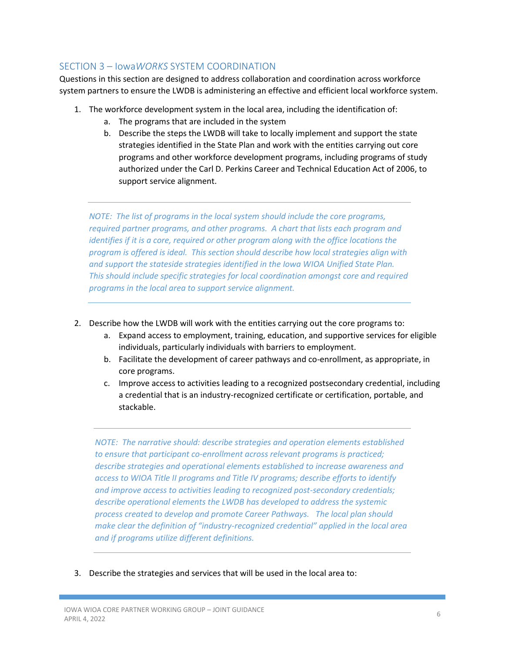#### SECTION 3 – Iowa*WORKS* SYSTEM COORDINATION

Questions in this section are designed to address collaboration and coordination across workforce system partners to ensure the LWDB is administering an effective and efficient local workforce system.

- 1. The workforce development system in the local area, including the identification of:
	- a. The programs that are included in the system
	- b. Describe the steps the LWDB will take to locally implement and support the state strategies identified in the State Plan and work with the entities carrying out core programs and other workforce development programs, including programs of study authorized under the Carl D. Perkins Career and Technical Education Act of 2006, to support service alignment.

*NOTE: The list of programs in the local system should include the core programs, required partner programs, and other programs. A chart that lists each program and identifies if it is a core, required or other program along with the office locations the program is offered is ideal. This section should describe how local strategies align with and support the stateside strategies identified in the Iowa WIOA Unified State Plan. This should include specific strategies for local coordination amongst core and required programs in the local area to support service alignment.*

- 2. Describe how the LWDB will work with the entities carrying out the core programs to:
	- a. Expand access to employment, training, education, and supportive services for eligible individuals, particularly individuals with barriers to employment.
	- b. Facilitate the development of career pathways and co-enrollment, as appropriate, in core programs.
	- c. Improve access to activities leading to a recognized postsecondary credential, including a credential that is an industry-recognized certificate or certification, portable, and stackable.

*NOTE: The narrative should: describe strategies and operation elements established to ensure that participant co-enrollment across relevant programs is practiced; describe strategies and operational elements established to increase awareness and access to WIOA Title II programs and Title IV programs; describe efforts to identify and improve access to activities leading to recognized post-secondary credentials; describe operational elements the LWDB has developed to address the systemic process created to develop and promote Career Pathways. The local plan should make clear the definition of "industry-recognized credential" applied in the local area and if programs utilize different definitions.* 

3. Describe the strategies and services that will be used in the local area to: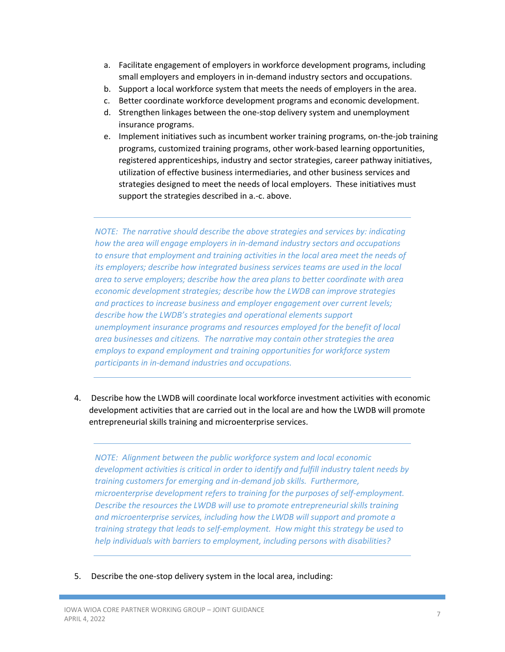- a. Facilitate engagement of employers in workforce development programs, including small employers and employers in in-demand industry sectors and occupations.
- b. Support a local workforce system that meets the needs of employers in the area.
- c. Better coordinate workforce development programs and economic development.
- d. Strengthen linkages between the one-stop delivery system and unemployment insurance programs.
- e. Implement initiatives such as incumbent worker training programs, on-the-job training programs, customized training programs, other work-based learning opportunities, registered apprenticeships, industry and sector strategies, career pathway initiatives, utilization of effective business intermediaries, and other business services and strategies designed to meet the needs of local employers. These initiatives must support the strategies described in a.-c. above.

*NOTE: The narrative should describe the above strategies and services by: indicating how the area will engage employers in in-demand industry sectors and occupations to ensure that employment and training activities in the local area meet the needs of its employers; describe how integrated business services teams are used in the local area to serve employers; describe how the area plans to better coordinate with area economic development strategies; describe how the LWDB can improve strategies and practices to increase business and employer engagement over current levels; describe how the LWDB's strategies and operational elements support unemployment insurance programs and resources employed for the benefit of local area businesses and citizens. The narrative may contain other strategies the area employs to expand employment and training opportunities for workforce system participants in in-demand industries and occupations.*

4. Describe how the LWDB will coordinate local workforce investment activities with economic development activities that are carried out in the local are and how the LWDB will promote entrepreneurial skills training and microenterprise services.

*NOTE: Alignment between the public workforce system and local economic development activities is critical in order to identify and fulfill industry talent needs by training customers for emerging and in-demand job skills. Furthermore, microenterprise development refers to training for the purposes of self-employment. Describe the resources the LWDB will use to promote entrepreneurial skills training and microenterprise services, including how the LWDB will support and promote a training strategy that leads to self-employment. How might this strategy be used to help individuals with barriers to employment, including persons with disabilities?*

5. Describe the one-stop delivery system in the local area, including: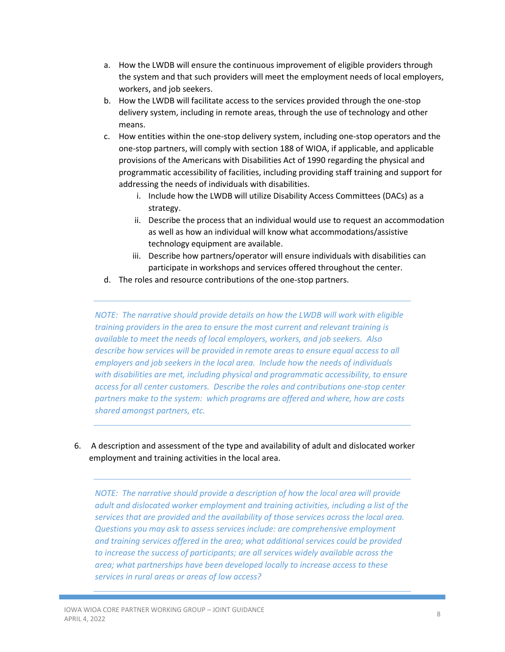- a. How the LWDB will ensure the continuous improvement of eligible providers through the system and that such providers will meet the employment needs of local employers, workers, and job seekers.
- b. How the LWDB will facilitate access to the services provided through the one-stop delivery system, including in remote areas, through the use of technology and other means.
- c. How entities within the one-stop delivery system, including one-stop operators and the one-stop partners, will comply with section 188 of WIOA, if applicable, and applicable provisions of the Americans with Disabilities Act of 1990 regarding the physical and programmatic accessibility of facilities, including providing staff training and support for addressing the needs of individuals with disabilities.
	- i. Include how the LWDB will utilize Disability Access Committees (DACs) as a strategy.
	- ii. Describe the process that an individual would use to request an accommodation as well as how an individual will know what accommodations/assistive technology equipment are available.
	- iii. Describe how partners/operator will ensure individuals with disabilities can participate in workshops and services offered throughout the center.
- d. The roles and resource contributions of the one-stop partners.

*NOTE: The narrative should provide details on how the LWDB will work with eligible training providers in the area to ensure the most current and relevant training is available to meet the needs of local employers, workers, and job seekers. Also describe how services will be provided in remote areas to ensure equal access to all employers and job seekers in the local area. Include how the needs of individuals with disabilities are met, including physical and programmatic accessibility, to ensure access for all center customers. Describe the roles and contributions one-stop center partners make to the system: which programs are offered and where, how are costs shared amongst partners, etc.* 

6. A description and assessment of the type and availability of adult and dislocated worker employment and training activities in the local area.

*NOTE: The narrative should provide a description of how the local area will provide adult and dislocated worker employment and training activities, including a list of the services that are provided and the availability of those services across the local area. Questions you may ask to assess services include: are comprehensive employment and training services offered in the area; what additional services could be provided to increase the success of participants; are all services widely available across the area; what partnerships have been developed locally to increase access to these services in rural areas or areas of low access?*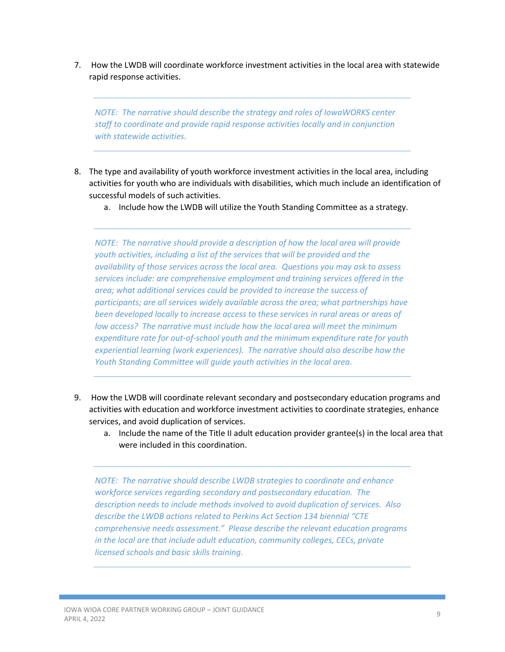7. How the LWDB will coordinate workforce investment activities in the local area with statewide rapid response activities.

*NOTE: The narrative should describe the strategy and roles of IowaWORKS center staff to coordinate and provide rapid response activities locally and in conjunction with statewide activities.*

- 8. The type and availability of youth workforce investment activities in the local area, including activities for youth who are individuals with disabilities, which much include an identification of successful models of such activities.
	- a. Include how the LWDB will utilize the Youth Standing Committee as a strategy.

*NOTE: The narrative should provide a description of how the local area will provide youth activities, including a list of the services that will be provided and the availability of those services across the local area. Questions you may ask to assess services include: are comprehensive employment and training services offered in the area; what additional services could be provided to increase the success of participants; are all services widely available across the area; what partnerships have been developed locally to increase access to these services in rural areas or areas of low access? The narrative must include how the local area will meet the minimum expenditure rate for out-of-school youth and the minimum expenditure rate for youth experiential learning (work experiences). The narrative should also describe how the Youth Standing Committee will guide youth activities in the local area.*

- 9. How the LWDB will coordinate relevant secondary and postsecondary education programs and activities with education and workforce investment activities to coordinate strategies, enhance services, and avoid duplication of services.
	- a. Include the name of the Title II adult education provider grantee(s) in the local area that were included in this coordination.

*NOTE: The narrative should describe LWDB strategies to coordinate and enhance workforce services regarding secondary and postsecondary education. The description needs to include methods involved to avoid duplication of services. Also describe the LWDB actions related to Perkins Act Section 134 biennial "CTE comprehensive needs assessment." Please describe the relevant education programs in the local are that include adult education, community colleges, CECs, private licensed schools and basic skills training.*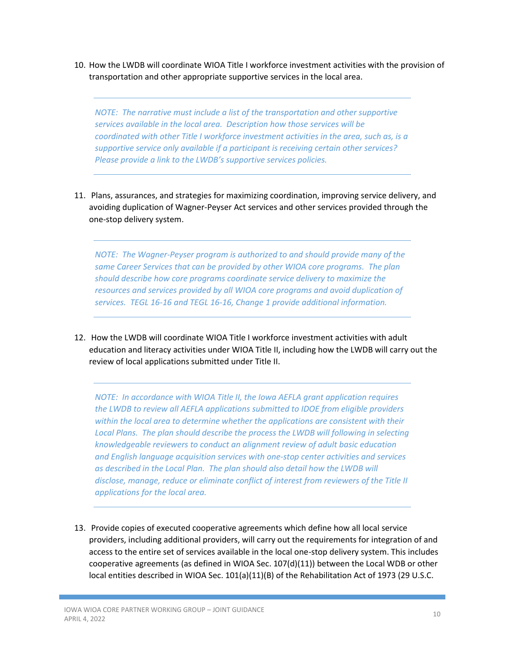10. How the LWDB will coordinate WIOA Title I workforce investment activities with the provision of transportation and other appropriate supportive services in the local area.

*NOTE: The narrative must include a list of the transportation and other supportive services available in the local area. Description how those services will be coordinated with other Title I workforce investment activities in the area, such as, is a supportive service only available if a participant is receiving certain other services? Please provide a link to the LWDB's supportive services policies.*

11. Plans, assurances, and strategies for maximizing coordination, improving service delivery, and avoiding duplication of Wagner-Peyser Act services and other services provided through the one-stop delivery system.

*NOTE: The Wagner-Peyser program is authorized to and should provide many of the same Career Services that can be provided by other WIOA core programs. The plan should describe how core programs coordinate service delivery to maximize the resources and services provided by all WIOA core programs and avoid duplication of services. TEGL 16-16 and TEGL 16-16, Change 1 provide additional information.*

12. How the LWDB will coordinate WIOA Title I workforce investment activities with adult education and literacy activities under WIOA Title II, including how the LWDB will carry out the review of local applications submitted under Title II.

*NOTE: In accordance with WIOA Title II, the Iowa AEFLA grant application requires the LWDB to review all AEFLA applications submitted to IDOE from eligible providers within the local area to determine whether the applications are consistent with their Local Plans. The plan should describe the process the LWDB will following in selecting knowledgeable reviewers to conduct an alignment review of adult basic education and English language acquisition services with one-stop center activities and services as described in the Local Plan. The plan should also detail how the LWDB will disclose, manage, reduce or eliminate conflict of interest from reviewers of the Title II applications for the local area.* 

13. Provide copies of executed cooperative agreements which define how all local service providers, including additional providers, will carry out the requirements for integration of and access to the entire set of services available in the local one-stop delivery system. This includes cooperative agreements (as defined in WIOA Sec. 107(d)(11)) between the Local WDB or other local entities described in WIOA Sec. 101(a)(11)(B) of the Rehabilitation Act of 1973 (29 U.S.C.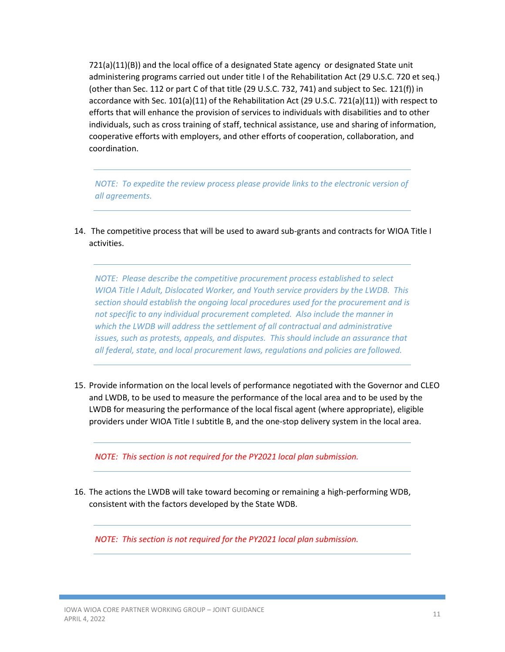721(a)(11)(B)) and the local office of a designated State agency or designated State unit administering programs carried out under title I of the Rehabilitation Act (29 U.S.C. 720 et seq.) (other than Sec. 112 or part C of that title (29 U.S.C. 732, 741) and subject to Sec. 121(f)) in accordance with Sec. 101(a)(11) of the Rehabilitation Act (29 U.S.C. 721(a)(11)) with respect to efforts that will enhance the provision of services to individuals with disabilities and to other individuals, such as cross training of staff, technical assistance, use and sharing of information, cooperative efforts with employers, and other efforts of cooperation, collaboration, and coordination.

*NOTE: To expedite the review process please provide links to the electronic version of all agreements.* 

14. The competitive process that will be used to award sub-grants and contracts for WIOA Title I activities.

*NOTE: Please describe the competitive procurement process established to select WIOA Title I Adult, Dislocated Worker, and Youth service providers by the LWDB. This section should establish the ongoing local procedures used for the procurement and is not specific to any individual procurement completed. Also include the manner in which the LWDB will address the settlement of all contractual and administrative issues, such as protests, appeals, and disputes. This should include an assurance that all federal, state, and local procurement laws, regulations and policies are followed.*

15. Provide information on the local levels of performance negotiated with the Governor and CLEO and LWDB, to be used to measure the performance of the local area and to be used by the LWDB for measuring the performance of the local fiscal agent (where appropriate), eligible providers under WIOA Title I subtitle B, and the one-stop delivery system in the local area.

*NOTE: This section is not required for the PY2021 local plan submission.*

16. The actions the LWDB will take toward becoming or remaining a high-performing WDB, consistent with the factors developed by the State WDB.

*NOTE: This section is not required for the PY2021 local plan submission.*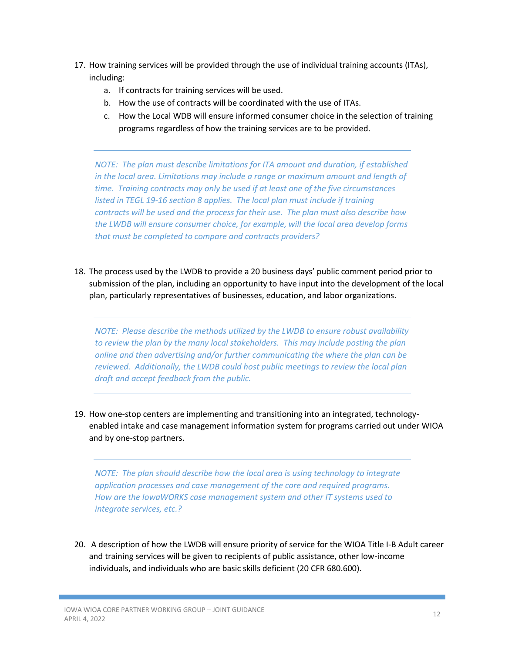- 17. How training services will be provided through the use of individual training accounts (ITAs), including:
	- a. If contracts for training services will be used.
	- b. How the use of contracts will be coordinated with the use of ITAs.
	- c. How the Local WDB will ensure informed consumer choice in the selection of training programs regardless of how the training services are to be provided.

*NOTE: The plan must describe limitations for ITA amount and duration, if established in the local area. Limitations may include a range or maximum amount and length of time. Training contracts may only be used if at least one of the five circumstances listed in TEGL 19-16 section 8 applies. The local plan must include if training contracts will be used and the process for their use. The plan must also describe how the LWDB will ensure consumer choice, for example, will the local area develop forms that must be completed to compare and contracts providers?* 

18. The process used by the LWDB to provide a 20 business days' public comment period prior to submission of the plan, including an opportunity to have input into the development of the local plan, particularly representatives of businesses, education, and labor organizations.

*NOTE: Please describe the methods utilized by the LWDB to ensure robust availability to review the plan by the many local stakeholders. This may include posting the plan online and then advertising and/or further communicating the where the plan can be reviewed. Additionally, the LWDB could host public meetings to review the local plan draft and accept feedback from the public.* 

19. How one-stop centers are implementing and transitioning into an integrated, technologyenabled intake and case management information system for programs carried out under WIOA and by one-stop partners.

*NOTE: The plan should describe how the local area is using technology to integrate application processes and case management of the core and required programs. How are the IowaWORKS case management system and other IT systems used to integrate services, etc.?*

20. A description of how the LWDB will ensure priority of service for the WIOA Title I-B Adult career and training services will be given to recipients of public assistance, other low-income individuals, and individuals who are basic skills deficient (20 CFR 680.600).